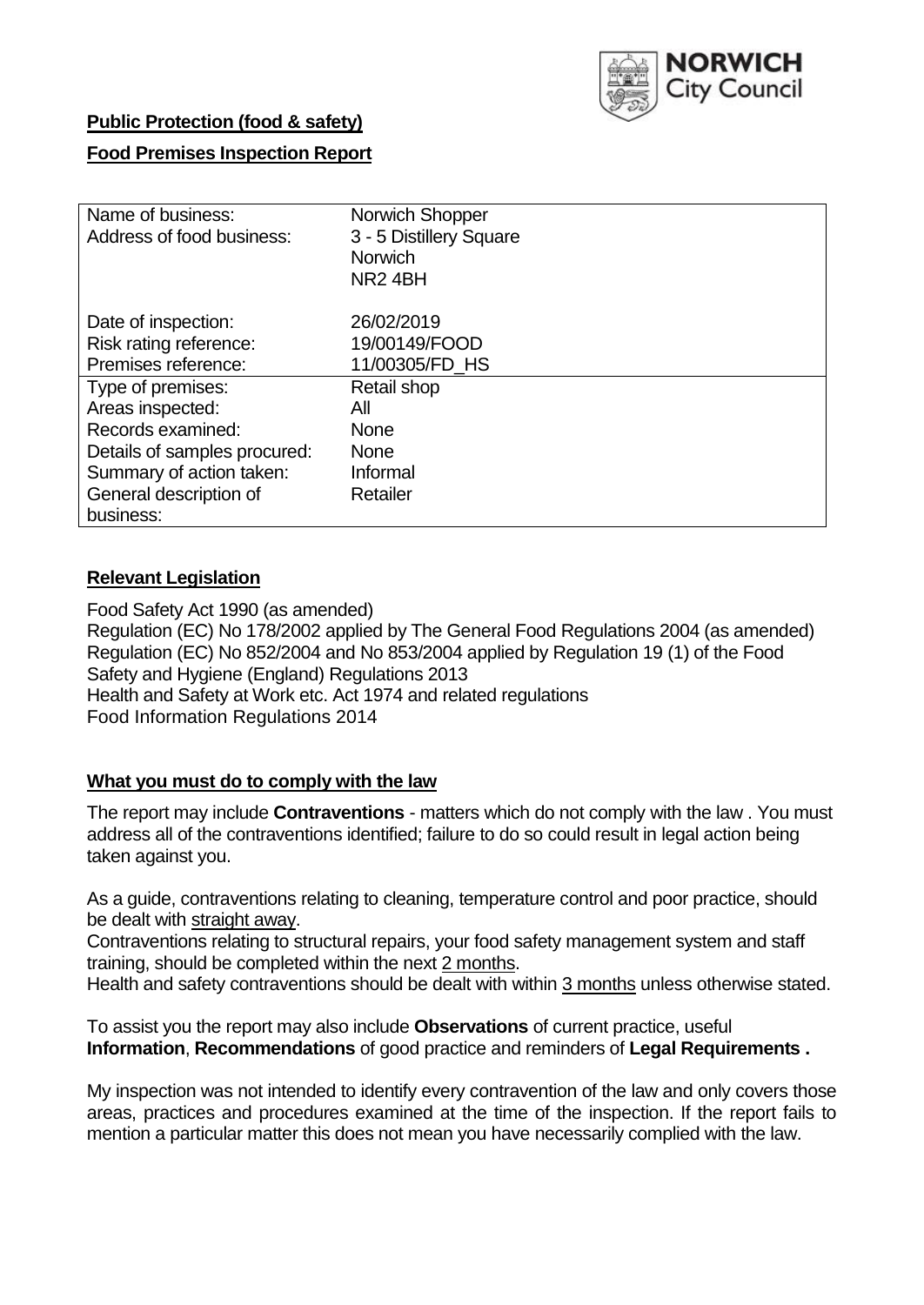

# **Public Protection (food & safety)**

# **Food Premises Inspection Report**

| Name of business:            | Norwich Shopper         |  |  |  |  |
|------------------------------|-------------------------|--|--|--|--|
| Address of food business:    | 3 - 5 Distillery Square |  |  |  |  |
|                              | <b>Norwich</b>          |  |  |  |  |
|                              | NR <sub>2</sub> 4BH     |  |  |  |  |
| Date of inspection:          | 26/02/2019              |  |  |  |  |
| Risk rating reference:       | 19/00149/FOOD           |  |  |  |  |
| Premises reference:          | 11/00305/FD HS          |  |  |  |  |
| Type of premises:            | Retail shop             |  |  |  |  |
| Areas inspected:             | All                     |  |  |  |  |
| Records examined:            | <b>None</b>             |  |  |  |  |
| Details of samples procured: | <b>None</b>             |  |  |  |  |
| Summary of action taken:     | Informal                |  |  |  |  |
| General description of       | Retailer                |  |  |  |  |
| business:                    |                         |  |  |  |  |

# **Relevant Legislation**

Food Safety Act 1990 (as amended) Regulation (EC) No 178/2002 applied by The General Food Regulations 2004 (as amended) Regulation (EC) No 852/2004 and No 853/2004 applied by Regulation 19 (1) of the Food Safety and Hygiene (England) Regulations 2013 Health and Safety at Work etc. Act 1974 and related regulations Food Information Regulations 2014

# **What you must do to comply with the law**

The report may include **Contraventions** - matters which do not comply with the law . You must address all of the contraventions identified; failure to do so could result in legal action being taken against you.

As a guide, contraventions relating to cleaning, temperature control and poor practice, should be dealt with straight away.

Contraventions relating to structural repairs, your food safety management system and staff training, should be completed within the next 2 months.

Health and safety contraventions should be dealt with within 3 months unless otherwise stated.

To assist you the report may also include **Observations** of current practice, useful **Information**, **Recommendations** of good practice and reminders of **Legal Requirements .**

My inspection was not intended to identify every contravention of the law and only covers those areas, practices and procedures examined at the time of the inspection. If the report fails to mention a particular matter this does not mean you have necessarily complied with the law.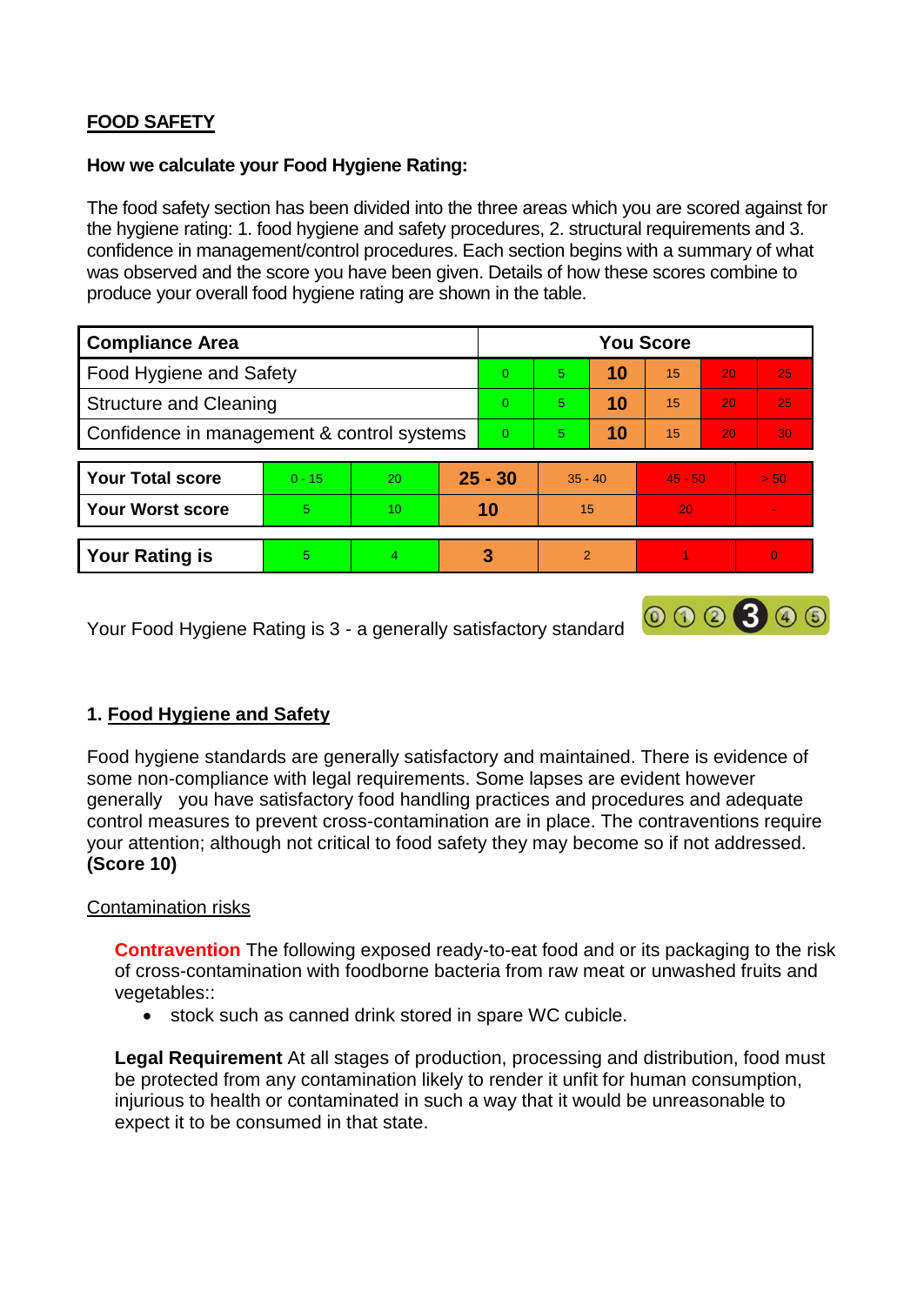# **FOOD SAFETY**

#### **How we calculate your Food Hygiene Rating:**

The food safety section has been divided into the three areas which you are scored against for the hygiene rating: 1. food hygiene and safety procedures, 2. structural requirements and 3. confidence in management/control procedures. Each section begins with a summary of what was observed and the score you have been given. Details of how these scores combine to produce your overall food hygiene rating are shown in the table.

| <b>Compliance Area</b>                     |          |                |          | <b>You Score</b> |               |    |           |                 |          |  |  |
|--------------------------------------------|----------|----------------|----------|------------------|---------------|----|-----------|-----------------|----------|--|--|
| Food Hygiene and Safety                    |          |                |          | $\Omega$         | 5             | 10 | 15        | 20              | 25       |  |  |
| <b>Structure and Cleaning</b>              |          |                | $\Omega$ | 5                | 10            | 15 | 20        | 25              |          |  |  |
| Confidence in management & control systems |          |                | $\Omega$ | 5                | 10            | 15 | 20        | 30 <sub>1</sub> |          |  |  |
|                                            |          |                |          |                  |               |    |           |                 |          |  |  |
| <b>Your Total score</b>                    | $0 - 15$ | 20             |          | $25 - 30$        | $35 - 40$     |    | $45 - 50$ |                 | > 50     |  |  |
| <b>Your Worst score</b>                    | 5        | 10             |          | 10               | 15            |    | 20        |                 |          |  |  |
|                                            |          |                |          |                  |               |    |           |                 |          |  |  |
| <b>Your Rating is</b>                      | 5.       | $\overline{4}$ |          | 3                | $\mathcal{P}$ |    |           |                 | $\Omega$ |  |  |

Your Food Hygiene Rating is 3 - a generally satisfactory standard

# **1. Food Hygiene and Safety**

Food hygiene standards are generally satisfactory and maintained. There is evidence of some non-compliance with legal requirements. Some lapses are evident however generally you have satisfactory food handling practices and procedures and adequate control measures to prevent cross-contamination are in place. The contraventions require your attention; although not critical to food safety they may become so if not addressed. **(Score 10)**

000300

# Contamination risks

**Contravention** The following exposed ready-to-eat food and or its packaging to the risk of cross-contamination with foodborne bacteria from raw meat or unwashed fruits and vegetables::

stock such as canned drink stored in spare WC cubicle.

**Legal Requirement** At all stages of production, processing and distribution, food must be protected from any contamination likely to render it unfit for human consumption, injurious to health or contaminated in such a way that it would be unreasonable to expect it to be consumed in that state.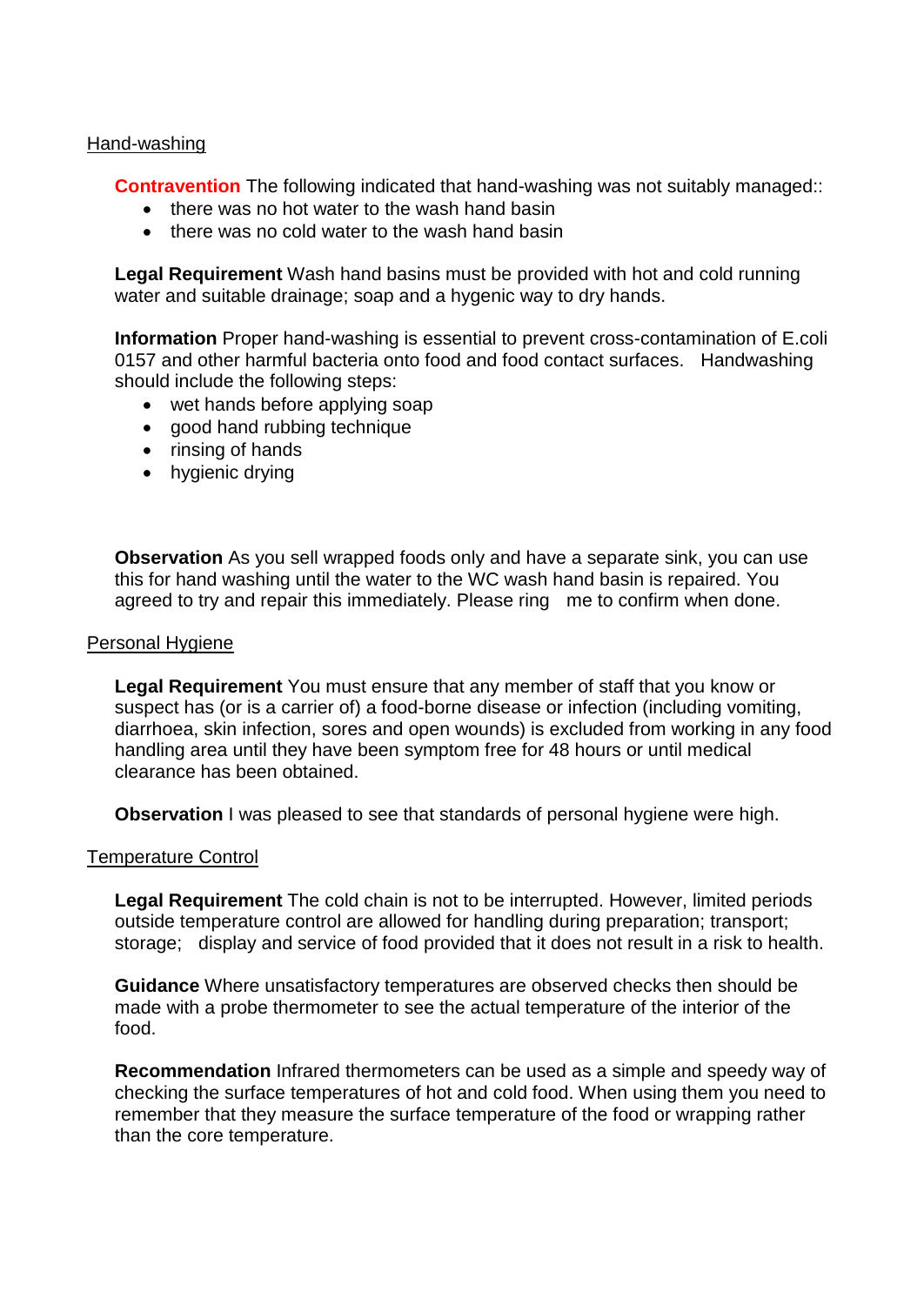#### Hand-washing

**Contravention** The following indicated that hand-washing was not suitably managed::

- there was no hot water to the wash hand basin
- there was no cold water to the wash hand basin

**Legal Requirement** Wash hand basins must be provided with hot and cold running water and suitable drainage; soap and a hygenic way to dry hands.

**Information** Proper hand-washing is essential to prevent cross-contamination of E.coli 0157 and other harmful bacteria onto food and food contact surfaces. Handwashing should include the following steps:

- wet hands before applying soap
- good hand rubbing technique
- rinsing of hands
- hygienic drying

**Observation** As you sell wrapped foods only and have a separate sink, you can use this for hand washing until the water to the WC wash hand basin is repaired. You agreed to try and repair this immediately. Please ring me to confirm when done.

#### Personal Hygiene

**Legal Requirement** You must ensure that any member of staff that you know or suspect has (or is a carrier of) a food-borne disease or infection (including vomiting, diarrhoea, skin infection, sores and open wounds) is excluded from working in any food handling area until they have been symptom free for 48 hours or until medical clearance has been obtained.

**Observation** I was pleased to see that standards of personal hygiene were high.

#### Temperature Control

**Legal Requirement** The cold chain is not to be interrupted. However, limited periods outside temperature control are allowed for handling during preparation; transport; storage; display and service of food provided that it does not result in a risk to health.

**Guidance** Where unsatisfactory temperatures are observed checks then should be made with a probe thermometer to see the actual temperature of the interior of the food.

**Recommendation** Infrared thermometers can be used as a simple and speedy way of checking the surface temperatures of hot and cold food. When using them you need to remember that they measure the surface temperature of the food or wrapping rather than the core temperature.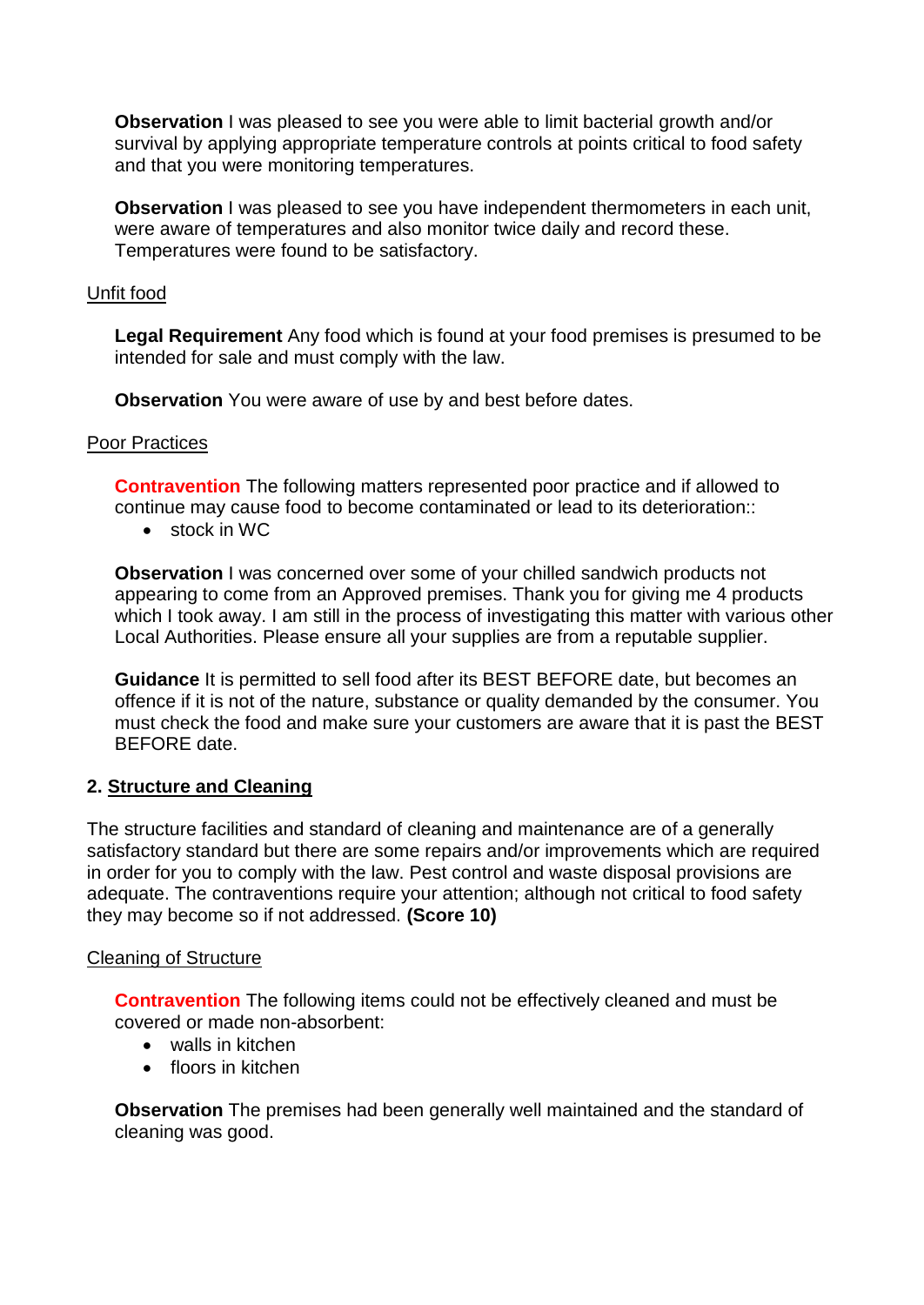**Observation** I was pleased to see you were able to limit bacterial growth and/or survival by applying appropriate temperature controls at points critical to food safety and that you were monitoring temperatures.

**Observation** I was pleased to see you have independent thermometers in each unit, were aware of temperatures and also monitor twice daily and record these. Temperatures were found to be satisfactory.

#### Unfit food

**Legal Requirement** Any food which is found at your food premises is presumed to be intended for sale and must comply with the law.

**Observation** You were aware of use by and best before dates.

#### Poor Practices

**Contravention** The following matters represented poor practice and if allowed to continue may cause food to become contaminated or lead to its deterioration::

• stock in WC

**Observation** I was concerned over some of your chilled sandwich products not appearing to come from an Approved premises. Thank you for giving me 4 products which I took away. I am still in the process of investigating this matter with various other Local Authorities. Please ensure all your supplies are from a reputable supplier.

**Guidance** It is permitted to sell food after its BEST BEFORE date, but becomes an offence if it is not of the nature, substance or quality demanded by the consumer. You must check the food and make sure your customers are aware that it is past the BEST BEFORE date.

# **2. Structure and Cleaning**

The structure facilities and standard of cleaning and maintenance are of a generally satisfactory standard but there are some repairs and/or improvements which are required in order for you to comply with the law. Pest control and waste disposal provisions are adequate. The contraventions require your attention; although not critical to food safety they may become so if not addressed. **(Score 10)**

#### Cleaning of Structure

**Contravention** The following items could not be effectively cleaned and must be covered or made non-absorbent:

- walls in kitchen
- floors in kitchen

**Observation** The premises had been generally well maintained and the standard of cleaning was good.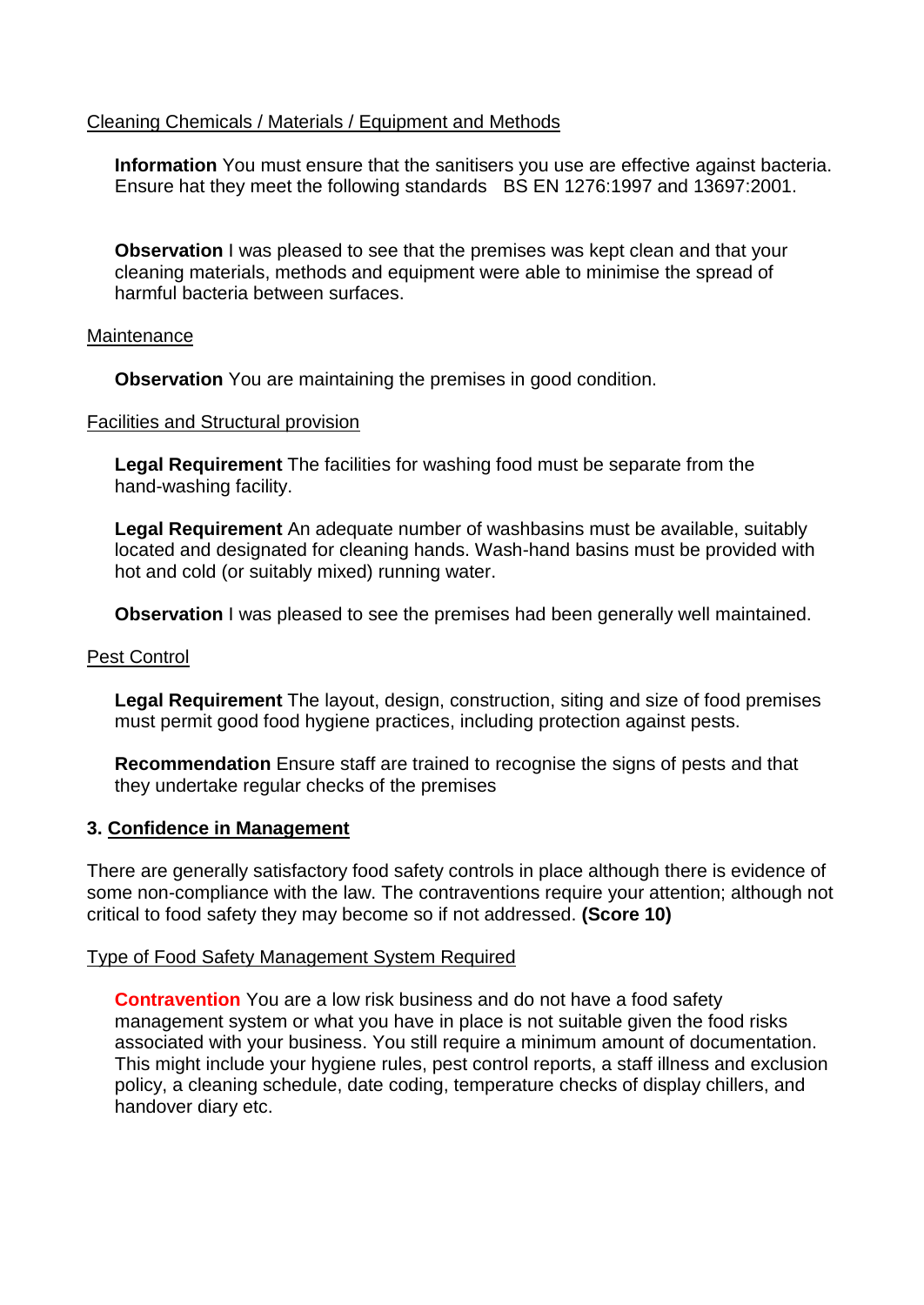# Cleaning Chemicals / Materials / Equipment and Methods

**Information** You must ensure that the sanitisers you use are effective against bacteria. Ensure hat they meet the following standards BS EN 1276:1997 and 13697:2001.

**Observation** I was pleased to see that the premises was kept clean and that your cleaning materials, methods and equipment were able to minimise the spread of harmful bacteria between surfaces.

#### **Maintenance**

**Observation** You are maintaining the premises in good condition.

#### Facilities and Structural provision

**Legal Requirement** The facilities for washing food must be separate from the hand-washing facility.

**Legal Requirement** An adequate number of washbasins must be available, suitably located and designated for cleaning hands. Wash-hand basins must be provided with hot and cold (or suitably mixed) running water.

**Observation** I was pleased to see the premises had been generally well maintained.

# Pest Control

**Legal Requirement** The layout, design, construction, siting and size of food premises must permit good food hygiene practices, including protection against pests.

**Recommendation** Ensure staff are trained to recognise the signs of pests and that they undertake regular checks of the premises

# **3. Confidence in Management**

There are generally satisfactory food safety controls in place although there is evidence of some non-compliance with the law. The contraventions require your attention; although not critical to food safety they may become so if not addressed. **(Score 10)**

# Type of Food Safety Management System Required

**Contravention** You are a low risk business and do not have a food safety management system or what you have in place is not suitable given the food risks associated with your business. You still require a minimum amount of documentation. This might include your hygiene rules, pest control reports, a staff illness and exclusion policy, a cleaning schedule, date coding, temperature checks of display chillers, and handover diary etc.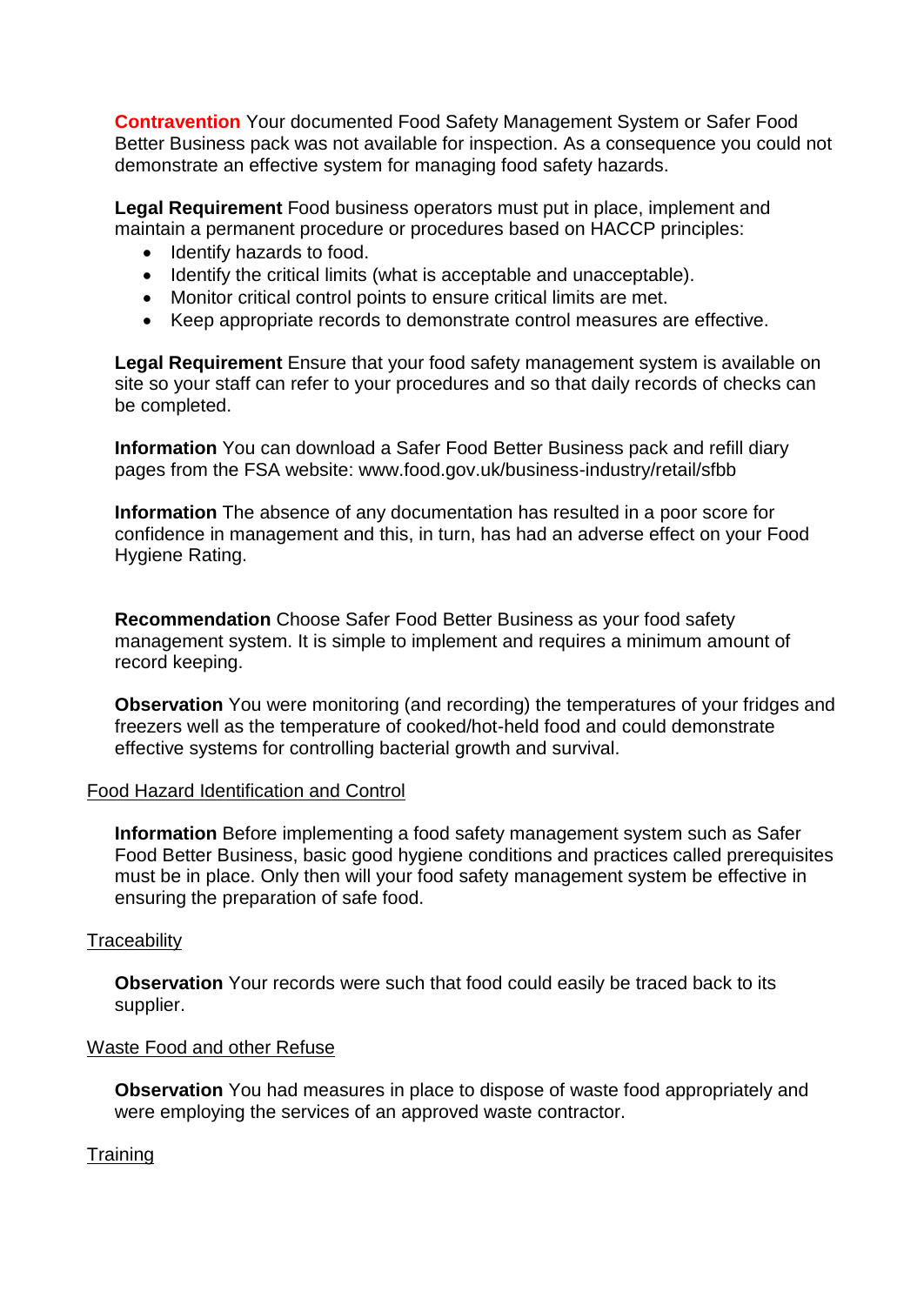**Contravention** Your documented Food Safety Management System or Safer Food Better Business pack was not available for inspection. As a consequence you could not demonstrate an effective system for managing food safety hazards.

**Legal Requirement** Food business operators must put in place, implement and maintain a permanent procedure or procedures based on HACCP principles:

- Identify hazards to food.
- Identify the critical limits (what is acceptable and unacceptable).
- Monitor critical control points to ensure critical limits are met.
- Keep appropriate records to demonstrate control measures are effective.

**Legal Requirement** Ensure that your food safety management system is available on site so your staff can refer to your procedures and so that daily records of checks can be completed.

**Information** You can download a Safer Food Better Business pack and refill diary pages from the FSA website: www.food.gov.uk/business-industry/retail/sfbb

**Information** The absence of any documentation has resulted in a poor score for confidence in management and this, in turn, has had an adverse effect on your Food Hygiene Rating.

**Recommendation** Choose Safer Food Better Business as your food safety management system. It is simple to implement and requires a minimum amount of record keeping.

**Observation** You were monitoring (and recording) the temperatures of your fridges and freezers well as the temperature of cooked/hot-held food and could demonstrate effective systems for controlling bacterial growth and survival.

# Food Hazard Identification and Control

**Information** Before implementing a food safety management system such as Safer Food Better Business, basic good hygiene conditions and practices called prerequisites must be in place. Only then will your food safety management system be effective in ensuring the preparation of safe food.

# **Traceability**

**Observation** Your records were such that food could easily be traced back to its supplier.

# Waste Food and other Refuse

**Observation** You had measures in place to dispose of waste food appropriately and were employing the services of an approved waste contractor.

**Training**